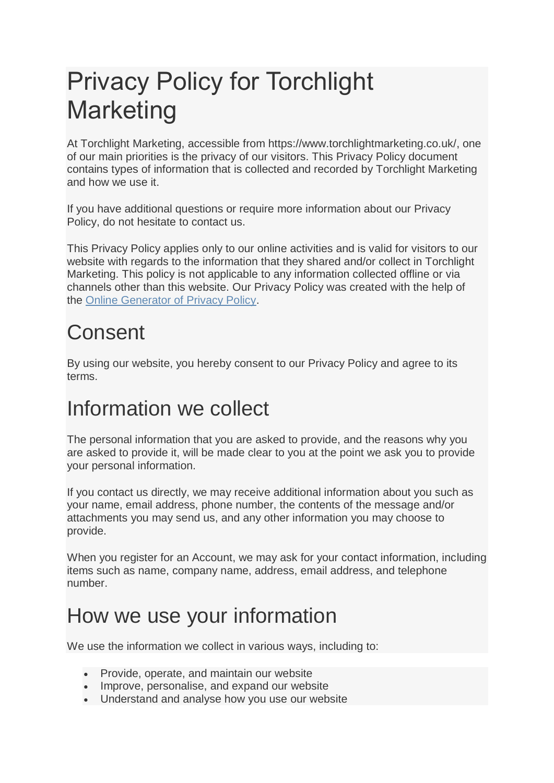# Privacy Policy for Torchlight Marketing

At Torchlight Marketing, accessible from https://www.torchlightmarketing.co.uk/, one of our main priorities is the privacy of our visitors. This Privacy Policy document contains types of information that is collected and recorded by Torchlight Marketing and how we use it.

If you have additional questions or require more information about our Privacy Policy, do not hesitate to contact us.

This Privacy Policy applies only to our online activities and is valid for visitors to our website with regards to the information that they shared and/or collect in Torchlight Marketing. This policy is not applicable to any information collected offline or via channels other than this website. Our Privacy Policy was created with the help of the [Online Generator of Privacy Policy.](https://www.privacypolicyonline.com/privacy-policy-generator/)

# **Consent**

By using our website, you hereby consent to our Privacy Policy and agree to its terms.

#### Information we collect

The personal information that you are asked to provide, and the reasons why you are asked to provide it, will be made clear to you at the point we ask you to provide your personal information.

If you contact us directly, we may receive additional information about you such as your name, email address, phone number, the contents of the message and/or attachments you may send us, and any other information you may choose to provide.

When you register for an Account, we may ask for your contact information, including items such as name, company name, address, email address, and telephone number.

#### How we use your information

We use the information we collect in various ways, including to:

- Provide, operate, and maintain our website
- Improve, personalise, and expand our website
- Understand and analyse how you use our website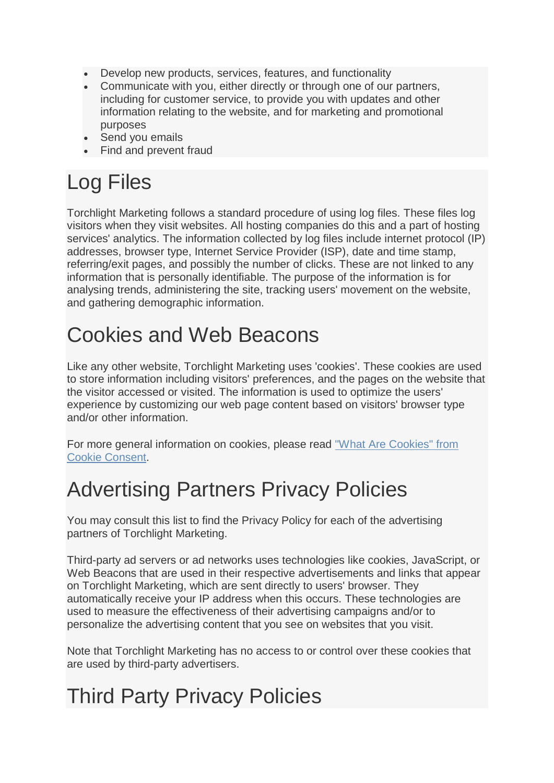- Develop new products, services, features, and functionality
- Communicate with you, either directly or through one of our partners, including for customer service, to provide you with updates and other information relating to the website, and for marketing and promotional purposes
- Send you emails
- Find and prevent fraud

## Log Files

Torchlight Marketing follows a standard procedure of using log files. These files log visitors when they visit websites. All hosting companies do this and a part of hosting services' analytics. The information collected by log files include internet protocol (IP) addresses, browser type, Internet Service Provider (ISP), date and time stamp, referring/exit pages, and possibly the number of clicks. These are not linked to any information that is personally identifiable. The purpose of the information is for analysing trends, administering the site, tracking users' movement on the website, and gathering demographic information.

#### Cookies and Web Beacons

Like any other website, Torchlight Marketing uses 'cookies'. These cookies are used to store information including visitors' preferences, and the pages on the website that the visitor accessed or visited. The information is used to optimize the users' experience by customizing our web page content based on visitors' browser type and/or other information.

For more general information on cookies, please read ["What Are Cookies" from](https://www.privacypolicyonline.com/what-are-cookies/)  [Cookie Consent.](https://www.privacypolicyonline.com/what-are-cookies/)

## Advertising Partners Privacy Policies

You may consult this list to find the Privacy Policy for each of the advertising partners of Torchlight Marketing.

Third-party ad servers or ad networks uses technologies like cookies, JavaScript, or Web Beacons that are used in their respective advertisements and links that appear on Torchlight Marketing, which are sent directly to users' browser. They automatically receive your IP address when this occurs. These technologies are used to measure the effectiveness of their advertising campaigns and/or to personalize the advertising content that you see on websites that you visit.

Note that Torchlight Marketing has no access to or control over these cookies that are used by third-party advertisers.

## Third Party Privacy Policies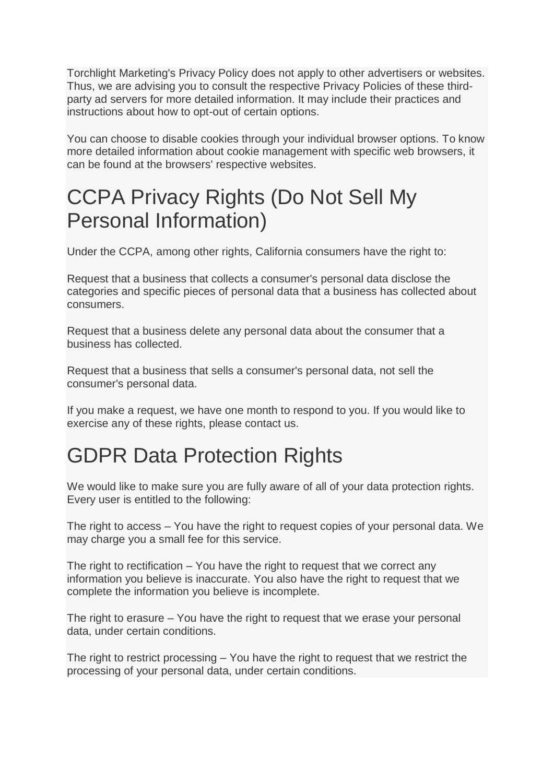Torchlight Marketing's Privacy Policy does not apply to other advertisers or websites. Thus, we are advising you to consult the respective Privacy Policies of these thirdparty ad servers for more detailed information. It may include their practices and instructions about how to opt-out of certain options.

You can choose to disable cookies through your individual browser options. To know more detailed information about cookie management with specific web browsers, it can be found at the browsers' respective websites.

### CCPA Privacy Rights (Do Not Sell My Personal Information)

Under the CCPA, among other rights, California consumers have the right to:

Request that a business that collects a consumer's personal data disclose the categories and specific pieces of personal data that a business has collected about consumers.

Request that a business delete any personal data about the consumer that a business has collected.

Request that a business that sells a consumer's personal data, not sell the consumer's personal data.

If you make a request, we have one month to respond to you. If you would like to exercise any of these rights, please contact us.

## GDPR Data Protection Rights

We would like to make sure you are fully aware of all of your data protection rights. Every user is entitled to the following:

The right to access – You have the right to request copies of your personal data. We may charge you a small fee for this service.

The right to rectification – You have the right to request that we correct any information you believe is inaccurate. You also have the right to request that we complete the information you believe is incomplete.

The right to erasure – You have the right to request that we erase your personal data, under certain conditions.

The right to restrict processing – You have the right to request that we restrict the processing of your personal data, under certain conditions.